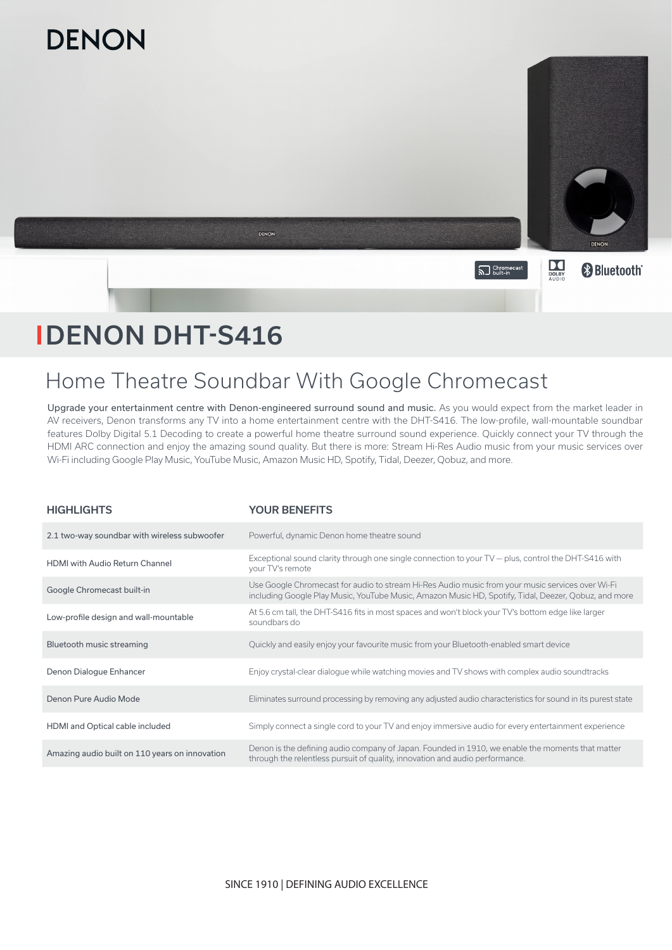

# DENON DHT-S416

# Home Theatre Soundbar With Google Chromecast

Upgrade your entertainment centre with Denon-engineered surround sound and music. As you would expect from the market leader in AV receivers, Denon transforms any TV into a home entertainment centre with the DHT-S416. The low-profile, wall-mountable soundbar features Dolby Digital 5.1 Decoding to create a powerful home theatre surround sound experience. Quickly connect your TV through the HDMI ARC connection and enjoy the amazing sound quality. But there is more: Stream Hi-Res Audio music from your music services over Wi-Fi including Google Play Music, YouTube Music, Amazon Music HD, Spotify, Tidal, Deezer, Qobuz, and more.

| <b>HIGHLIGHTS</b>                              | <b>YOUR BENEFITS</b>                                                                                                                                                                                     |
|------------------------------------------------|----------------------------------------------------------------------------------------------------------------------------------------------------------------------------------------------------------|
| 2.1 two-way soundbar with wireless subwoofer   | Powerful, dynamic Denon home theatre sound                                                                                                                                                               |
| <b>HDMI</b> with Audio Return Channel          | Exceptional sound clarity through one single connection to your $TV$ - plus, control the DHT-S416 with<br>your TV's remote                                                                               |
| Google Chromecast built-in                     | Use Google Chromecast for audio to stream Hi-Res Audio music from your music services over Wi-Fi<br>including Google Play Music, YouTube Music, Amazon Music HD, Spotify, Tidal, Deezer, Qobuz, and more |
| Low-profile design and wall-mountable          | At 5.6 cm tall, the DHT-S416 fits in most spaces and won't block your TV's bottom edge like larger<br>soundbars do                                                                                       |
| Bluetooth music streaming                      | Quickly and easily enjoy your favourite music from your Bluetooth-enabled smart device                                                                                                                   |
| Denon Dialogue Enhancer                        | Enjoy crystal-clear dialogue while watching movies and TV shows with complex audio soundtracks                                                                                                           |
| Denon Pure Audio Mode                          | Eliminates surround processing by removing any adjusted audio characteristics for sound in its purest state                                                                                              |
| HDMI and Optical cable included                | Simply connect a single cord to your TV and enjoy immersive audio for every entertainment experience                                                                                                     |
| Amazing audio built on 110 years on innovation | Denon is the defining audio company of Japan. Founded in 1910, we enable the moments that matter<br>through the relentless pursuit of quality, innovation and audio performance.                         |